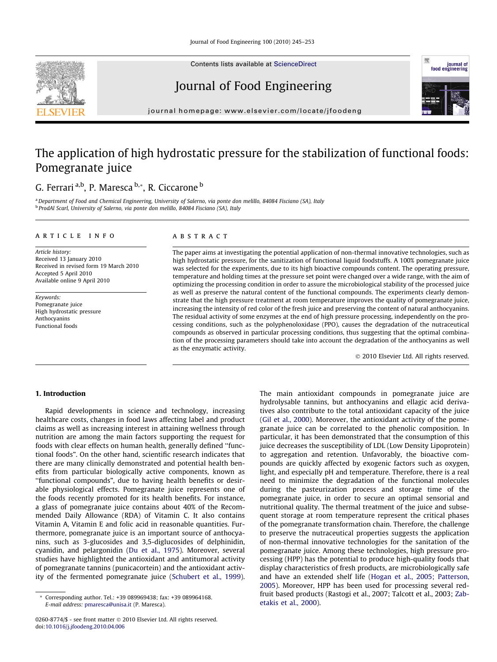Contents lists available at [ScienceDirect](http://www.sciencedirect.com/science/journal/02608774)

# Journal of Food Engineering

journal homepage: [www.elsevier.com/locate/jfoodeng](http://www.elsevier.com/locate/jfoodeng)

# The application of high hydrostatic pressure for the stabilization of functional foods: Pomegranate juice

# G. Ferrari a,b, P. Maresca b,\*, R. Ciccarone b

a Department of Food and Chemical Engineering, University of Salerno, via ponte don melillo, 84084 Fisciano (SA), Italy <sup>b</sup> ProdAl Scarl, University of Salerno, via ponte don melillo, 84084 Fisciano (SA), Italy

#### article info

Article history: Received 13 January 2010 Received in revised form 19 March 2010 Accepted 5 April 2010 Available online 9 April 2010

Keywords: Pomegranate juice High hydrostatic pressure Anthocyanins Functional foods

### ABSTRACT

The paper aims at investigating the potential application of non-thermal innovative technologies, such as high hydrostatic pressure, for the sanitization of functional liquid foodstuffs. A 100% pomegranate juice was selected for the experiments, due to its high bioactive compounds content. The operating pressure, temperature and holding times at the pressure set point were changed over a wide range, with the aim of optimizing the processing condition in order to assure the microbiological stability of the processed juice as well as preserve the natural content of the functional compounds. The experiments clearly demonstrate that the high pressure treatment at room temperature improves the quality of pomegranate juice, increasing the intensity of red color of the fresh juice and preserving the content of natural anthocyanins. The residual activity of some enzymes at the end of high pressure processing, independently on the processing conditions, such as the polyphenoloxidase (PPO), causes the degradation of the nutraceutical compounds as observed in particular processing conditions, thus suggesting that the optimal combination of the processing parameters should take into account the degradation of the anthocyanins as well as the enzymatic activity.

- 2010 Elsevier Ltd. All rights reserved.

# 1. Introduction

Rapid developments in science and technology, increasing healthcare costs, changes in food laws affecting label and product claims as well as increasing interest in attaining wellness through nutrition are among the main factors supporting the request for foods with clear effects on human health, generally defined ''functional foods". On the other hand, scientific research indicates that there are many clinically demonstrated and potential health benefits from particular biologically active components, known as ''functional compounds", due to having health benefits or desirable physiological effects. Pomegranate juice represents one of the foods recently promoted for its health benefits. For instance, a glass of pomegranate juice contains about 40% of the Recommended Daily Allowance (RDA) of Vitamin C. It also contains Vitamin A, Vitamin E and folic acid in reasonable quantities. Furthermore, pomegranate juice is an important source of anthocyanins, such as 3-glucosides and 3,5-diglucosides of delphinidin, cyanidin, and pelargonidin [\(Du et al., 1975](#page-8-0)). Moreover, several studies have highlighted the antioxidant and antitumoral activity of pomegranate tannins (punicacortein) and the antioxidant activity of the fermented pomegranate juice [\(Schubert et al., 1999\)](#page-8-0).

The main antioxidant compounds in pomegranate juice are hydrolysable tannins, but anthocyanins and ellagic acid derivatives also contribute to the total antioxidant capacity of the juice ([Gil et al., 2000\)](#page-8-0). Moreover, the antioxidant activity of the pomegranate juice can be correlated to the phenolic composition. In particular, it has been demonstrated that the consumption of this juice decreases the susceptibility of LDL (Low Density Lipoprotein) to aggregation and retention. Unfavorably, the bioactive compounds are quickly affected by exogenic factors such as oxygen, light, and especially pH and temperature. Therefore, there is a real need to minimize the degradation of the functional molecules during the pasteurization process and storage time of the pomegranate juice, in order to secure an optimal sensorial and nutritional quality. The thermal treatment of the juice and subsequent storage at room temperature represent the critical phases of the pomegranate transformation chain. Therefore, the challenge to preserve the nutraceutical properties suggests the application of non-thermal innovative technologies for the sanitation of the pomegranate juice. Among these technologies, high pressure processing (HPP) has the potential to produce high-quality foods that display characteristics of fresh products, are microbiologically safe and have an extended shelf life ([Hogan et al., 2005; Patterson,](#page-8-0) [2005](#page-8-0)). Moreover, HPP has been used for processing several redfruit based products (Rastogi et al., 2007; Talcott et al., 2003; [Zab](#page-8-0)[etakis et al., 2000\)](#page-8-0).





Corresponding author. Tel.: +39 089969438; fax: +39 089964168. E-mail address: [pmaresca@unisa.it](mailto:pmaresca@unisa.it) (P. Maresca).

<sup>0260-8774/\$ -</sup> see front matter © 2010 Elsevier Ltd. All rights reserved. doi[:10.1016/j.jfoodeng.2010.04.006](http://dx.doi.org/10.1016/j.jfoodeng.2010.04.006)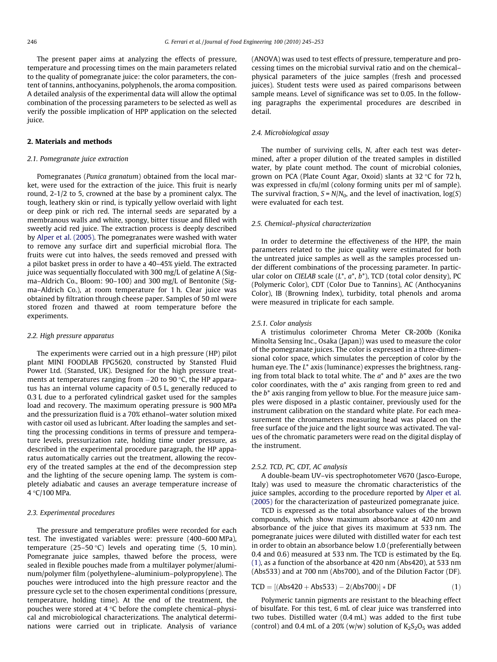The present paper aims at analyzing the effects of pressure, temperature and processing times on the main parameters related to the quality of pomegranate juice: the color parameters, the content of tannins, anthocyanins, polyphenols, the aroma composition. A detailed analysis of the experimental data will allow the optimal combination of the processing parameters to be selected as well as verify the possible implication of HPP application on the selected juice.

# 2. Materials and methods

#### 2.1. Pomegranate juice extraction

Pomegranates (Punica granatum) obtained from the local market, were used for the extraction of the juice. This fruit is nearly round, 2-1/2 to 5, crowned at the base by a prominent calyx. The tough, leathery skin or rind, is typically yellow overlaid with light or deep pink or rich red. The internal seeds are separated by a membranous walls and white, spongy, bitter tissue and filled with sweetly acid red juice. The extraction process is deeply described by [Alper et al. \(2005\).](#page-7-0) The pomegranates were washed with water to remove any surface dirt and superficial microbial flora. The fruits were cut into halves, the seeds removed and pressed with a pilot basket press in order to have a 40–45% yield. The extracted juice was sequentially flocculated with 300 mg/L of gelatine A (Sigma–Aldrich Co., Bloom: 90–100) and 300 mg/L of Bentonite (Sigma–Aldrich Co.), at room temperature for 1 h. Clear juice was obtained by filtration through cheese paper. Samples of 50 ml were stored frozen and thawed at room temperature before the experiments.

#### 2.2. High pressure apparatus

The experiments were carried out in a high pressure (HP) pilot plant MINI FOODLAB FPG5620, constructed by Stansted Fluid Power Ltd. (Stansted, UK). Designed for the high pressure treatments at temperatures ranging from -20 to 90 C, the HP apparatus has an internal volume capacity of 0.5 L, generally reduced to 0.3 L due to a perforated cylindrical gasket used for the samples load and recovery. The maximum operating pressure is 900 MPa and the pressurization fluid is a 70% ethanol–water solution mixed with castor oil used as lubricant. After loading the samples and setting the processing conditions in terms of pressure and temperature levels, pressurization rate, holding time under pressure, as described in the experimental procedure paragraph, the HP apparatus automatically carries out the treatment, allowing the recovery of the treated samples at the end of the decompression step and the lighting of the secure opening lamp. The system is completely adiabatic and causes an average temperature increase of 4 °C/100 MPa.

#### 2.3. Experimental procedures

The pressure and temperature profiles were recorded for each test. The investigated variables were: pressure (400–600 MPa), temperature (25–50 °C) levels and operating time (5, 10 min). Pomegranate juice samples, thawed before the process, were sealed in flexible pouches made from a multilayer polymer/aluminum/polymer film (polyethylene–aluminium–polypropylene). The pouches were introduced into the high pressure reactor and the pressure cycle set to the chosen experimental conditions (pressure, temperature, holding time). At the end of the treatment, the pouches were stored at  $4^{\circ}$ C before the complete chemical–physical and microbiological characterizations. The analytical determinations were carried out in triplicate. Analysis of variance (ANOVA) was used to test effects of pressure, temperature and processing times on the microbial survival ratio and on the chemical– physical parameters of the juice samples (fresh and processed juices). Student tests were used as paired comparisons between sample means. Level of significance was set to 0.05. In the following paragraphs the experimental procedures are described in detail.

#### 2.4. Microbiological assay

The number of surviving cells, N, after each test was determined, after a proper dilution of the treated samples in distilled water, by plate count method. The count of microbial colonies, grown on PCA (Plate Count Agar, Oxoid) slants at  $32^{\circ}$ C for 72 h, was expressed in cfu/ml (colony forming units per ml of sample). The survival fraction,  $S = N/N_0$ , and the level of inactivation,  $log(S)$ were evaluated for each test.

#### 2.5. Chemical–physical characterization

In order to determine the effectiveness of the HPP, the main parameters related to the juice quality were estimated for both the untreated juice samples as well as the samples processed under different combinations of the processing parameter. In particular color on CIELAB scale  $(L^*, a^*, b^*)$ , TCD (total color density), PC (Polymeric Color), CDT (Color Due to Tannins), AC (Anthocyanins Color), IB (Browning Index), turbidity, total phenols and aroma were measured in triplicate for each sample.

#### 2.5.1. Color analysis

A tristimulus colorimeter Chroma Meter CR-200b (Konika Minolta Sensing Inc., Osaka (Japan)) was used to measure the color of the pomegranate juices. The color is expressed in a three-dimensional color space, which simulates the perception of color by the human eye. The L\* axis (luminance) expresses the brightness, ranging from total black to total white. The  $a^*$  and  $b^*$  axes are the two color coordinates, with the  $a^*$  axis ranging from green to red and the  $b^*$  axis ranging from yellow to blue. For the measure juice samples were disposed in a plastic container, previously used for the instrument calibration on the standard white plate. For each measurement the chromameters measuring head was placed on the free surface of the juice and the light source was activated. The values of the chromatic parameters were read on the digital display of the instrument.

#### 2.5.2. TCD, PC, CDT, AC analysis

A double-beam UV–vis spectrophotometer V670 (Jasco-Europe, Italy) was used to measure the chromatic characteristics of the juice samples, according to the procedure reported by [Alper et al.](#page-7-0) [\(2005\)](#page-7-0) for the characterization of pasteurized pomegranate juice.

TCD is expressed as the total absorbance values of the brown compounds, which show maximum absorbance at 420 nm and absorbance of the juice that gives its maximum at 533 nm. The pomegranate juices were diluted with distilled water for each test in order to obtain an absorbance below 1.0 (preferentially between 0.4 and 0.6) measured at 533 nm. The TCD is estimated by the Eq. (1), as a function of the absorbance at 420 nm (Abs420), at 533 nm (Abs533) and at 700 nm (Abs700), and of the Dilution Factor (DF).

$$
TCP = [(Abs420 + Abs533) - 2(Abs700)] * DF
$$
\n(1)

Polymeric tannin pigments are resistant to the bleaching effect of bisulfate. For this test, 6 mL of clear juice was transferred into two tubes. Distilled water (0.4 mL) was added to the first tube (control) and 0.4 mL of a 20% (w/w) solution of  $K_2S_2O_5$  was added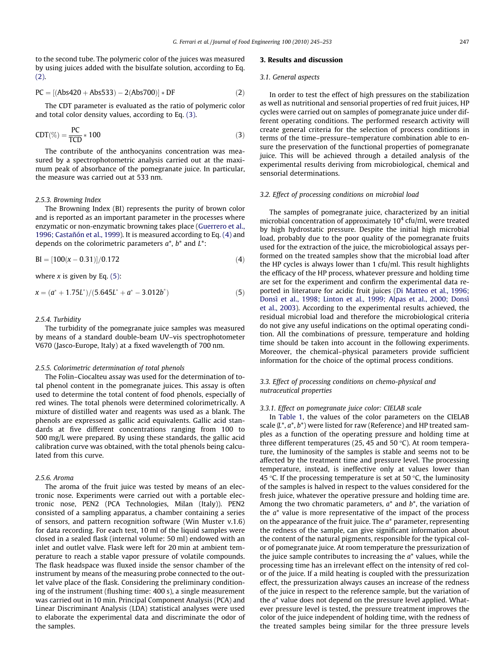to the second tube. The polymeric color of the juices was measured by using juices added with the bisulfate solution, according to Eq. (2).

$$
PC = [(Abs420 + Abs533) - 2(Abs700)] * DF
$$
 (2)

The CDT parameter is evaluated as the ratio of polymeric color and total color density values, according to Eq. (3).

$$
CDT(\%) = \frac{PC}{TCD} * 100
$$
 (3)

The contribute of the anthocyanins concentration was measured by a spectrophotometric analysis carried out at the maximum peak of absorbance of the pomegranate juice. In particular, the measure was carried out at 533 nm.

#### 2.5.3. Browning Index

The Browning Index (BI) represents the purity of brown color and is reported as an important parameter in the processes where enzymatic or non-enzymatic browning takes place ([Guerrero et al.,](#page-8-0) [1996; Castañón et al., 1999\)](#page-8-0). It is measured according to Eq. (4) and depends on the colorimetric parameters  $a^*$ ,  $b^*$  and  $L^*$ :

$$
BI = [100(x - 0.31)]/0.172
$$
 (4)

where  $x$  is given by Eq. (5):

$$
x = (a^* + 1.75L^*)/(5.645L^* + a^* - 3.012b^*)
$$
\n(5)

#### 2.5.4. Turbidity

The turbidity of the pomegranate juice samples was measured by means of a standard double-beam UV–vis spectrophotometer V670 (Jasco-Europe, Italy) at a fixed wavelength of 700 nm.

#### 2.5.5. Colorimetric determination of total phenols

The Folin–Ciocalteu assay was used for the determination of total phenol content in the pomegranate juices. This assay is often used to determine the total content of food phenols, especially of red wines. The total phenols were determined colorimetrically. A mixture of distilled water and reagents was used as a blank. The phenols are expressed as gallic acid equivalents. Gallic acid standards at five different concentrations ranging from 100 to 500 mg/L were prepared. By using these standards, the gallic acid calibration curve was obtained, with the total phenols being calculated from this curve.

#### 2.5.6. Aroma

The aroma of the fruit juice was tested by means of an electronic nose. Experiments were carried out with a portable electronic nose, PEN2 (PCA Technologies, Milan (Italy)). PEN2 consisted of a sampling apparatus, a chamber containing a series of sensors, and pattern recognition software (Win Muster v.1.6) for data recording. For each test, 10 ml of the liquid samples were closed in a sealed flask (internal volume: 50 ml) endowed with an inlet and outlet valve. Flask were left for 20 min at ambient temperature to reach a stable vapor pressure of volatile compounds. The flask headspace was fluxed inside the sensor chamber of the instrument by means of the measuring probe connected to the outlet valve place of the flask. Considering the preliminary conditioning of the instrument (flushing time: 400 s), a single measurement was carried out in 10 min. Principal Component Analysis (PCA) and Linear Discriminant Analysis (LDA) statistical analyses were used to elaborate the experimental data and discriminate the odor of the samples.

# 3. Results and discussion

#### 3.1. General aspects

In order to test the effect of high pressures on the stabilization as well as nutritional and sensorial properties of red fruit juices, HP cycles were carried out on samples of pomegranate juice under different operating conditions. The performed research activity will create general criteria for the selection of process conditions in terms of the time–pressure–temperature combination able to ensure the preservation of the functional properties of pomegranate juice. This will be achieved through a detailed analysis of the experimental results deriving from microbiological, chemical and sensorial determinations.

#### 3.2. Effect of processing conditions on microbial load

The samples of pomegranate juice, characterized by an initial microbial concentration of approximately  $10<sup>4</sup>$  cfu/ml, were treated by high hydrostatic pressure. Despite the initial high microbial load, probably due to the poor quality of the pomegranate fruits used for the extraction of the juice, the microbiological assays performed on the treated samples show that the microbial load after the HP cycles is always lower than 1 cfu/ml. This result highlights the efficacy of the HP process, whatever pressure and holding time are set for the experiment and confirm the experimental data reported in literature for acidic fruit juices ([Di Matteo et al., 1996;](#page-7-0) [Donsì et al., 1998; Linton et al., 1999; Alpas et al., 2000; Donsì](#page-7-0) [et al., 2003\)](#page-7-0). According to the experimental results achieved, the residual microbial load and therefore the microbiological criteria do not give any useful indications on the optimal operating condition. All the combinations of pressure, temperature and holding time should be taken into account in the following experiments. Moreover, the chemical–physical parameters provide sufficient information for the choice of the optimal process conditions.

# 3.3. Effect of processing conditions on chemo-physical and nutraceutical properties

#### 3.3.1. Effect on pomegranate juice color: CIELAB scale

In [Table 1,](#page-3-0) the values of the color parameters on the CIELAB scale  $(L^*, a^*, b^*)$  were listed for raw (Reference) and HP treated samples as a function of the operating pressure and holding time at three different temperatures (25, 45 and 50  $\degree$ C). At room temperature, the luminosity of the samples is stable and seems not to be affected by the treatment time and pressure level. The processing temperature, instead, is ineffective only at values lower than 45 °C. If the processing temperature is set at 50 °C, the luminosity of the samples is halved in respect to the values considered for the fresh juice, whatever the operative pressure and holding time are. Among the two chromatic parameters,  $a^*$  and  $b^*$ , the variation of the  $a^*$  value is more representative of the impact of the process on the appearance of the fruit juice. The  $a^*$  parameter, representing the redness of the sample, can give significant information about the content of the natural pigments, responsible for the typical color of pomegranate juice. At room temperature the pressurization of the juice sample contributes to increasing the  $a^*$  values, while the processing time has an irrelevant effect on the intensity of red color of the juice. If a mild heating is coupled with the pressurization effect, the pressurization always causes an increase of the redness of the juice in respect to the reference sample, but the variation of the  $a^*$  value does not depend on the pressure level applied. Whatever pressure level is tested, the pressure treatment improves the color of the juice independent of holding time, with the redness of the treated samples being similar for the three pressure levels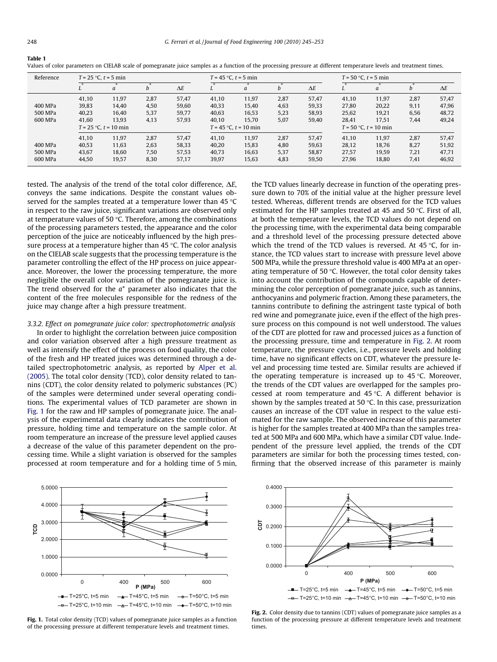<span id="page-3-0"></span>

Table 1

| Reference | $T = 25$ °C, $t = 5$ min |                           |      |            | $T = 45$ °C, $t = 5$ min  |       | $T = 50$ °C, $t = 5$ min |            |                           |       |      |            |
|-----------|--------------------------|---------------------------|------|------------|---------------------------|-------|--------------------------|------------|---------------------------|-------|------|------------|
|           |                          | a                         | n    | $\Delta E$ |                           | a     |                          | $\Delta E$ |                           | a     | D    | $\Delta E$ |
|           | 41.10                    | 11,97                     | 2,87 | 57.47      | 41.10                     | 11,97 | 2,87                     | 57,47      | 41.10                     | 11.97 | 2,87 | 57,47      |
| 400 MPa   | 39,83                    | 14,40                     | 4,50 | 59,60      | 40,33                     | 15,40 | 4,63                     | 59,33      | 27,80                     | 20,22 | 9,11 | 47,96      |
| 500 MPa   | 40.23                    | 16.40                     | 5,37 | 59,77      | 40,63                     | 16,53 | 5,23                     | 58,93      | 25,62                     | 19,21 | 6,56 | 48,72      |
| 600 MPa   | 41.60                    | 13.93                     | 4,13 | 57,93      | 40.10                     | 15.70 | 5,07                     | 59,40      | 28,41                     | 17,51 | 7,44 | 49,24      |
|           |                          | $T = 25$ °C, $t = 10$ min |      |            | $T = 45$ °C, $t = 10$ min |       |                          |            | $T = 50$ °C, $t = 10$ min |       |      |            |
|           | 41.10                    | 11,97                     | 2,87 | 57.47      | 41,10                     | 11,97 | 2,87                     | 57,47      | 41,10                     | 11,97 | 2,87 | 57,47      |
| 400 MPa   | 40,53                    | 11,63                     | 2,63 | 58,33      | 40,20                     | 15,83 | 4,80                     | 59,63      | 28,12                     | 18,76 | 8,27 | 51,92      |
| 500 MPa   | 43.67                    | 18.60                     | 7,50 | 57.53      | 40.73                     | 16,63 | 5,37                     | 58,87      | 27.57                     | 19,59 | 7,21 | 47,71      |
| 600 MPa   | 44.50                    | 19.57                     | 8,30 | 57.17      | 39.97                     | 15,63 | 4,83                     | 59,50      | 27.96                     | 18.80 | 7,41 | 46,92      |

Values of color parameters on CIELAB scale of pomegranate juice samples as a function of the processing pressure at different temperature levels and treatment times.

tested. The analysis of the trend of the total color difference,  $\Delta E$ , conveys the same indications. Despite the constant values observed for the samples treated at a temperature lower than 45  $\degree$ C in respect to the raw juice, significant variations are observed only at temperature values of 50  $\degree$ C. Therefore, among the combinations of the processing parameters tested, the appearance and the color perception of the juice are noticeably influenced by the high pressure process at a temperature higher than  $45^{\circ}$ C. The color analysis on the CIELAB scale suggests that the processing temperature is the parameter controlling the effect of the HP process on juice appearance. Moreover, the lower the processing temperature, the more negligible the overall color variation of the pomegranate juice is. The trend observed for the  $a^*$  parameter also indicates that the content of the free molecules responsible for the redness of the juice may change after a high pressure treatment.

### 3.3.2. Effect on pomegranate juice color: spectrophotometric analysis

In order to highlight the correlation between juice composition and color variation observed after a high pressure treatment as well as intensify the effect of the process on food quality, the color of the fresh and HP treated juices was determined through a detailed spectrophotometric analysis, as reported by [Alper et al.](#page-7-0) [\(2005\).](#page-7-0) The total color density (TCD), color density related to tannins (CDT), the color density related to polymeric substances (PC) of the samples were determined under several operating conditions. The experimental values of TCD parameter are shown in Fig. 1 for the raw and HP samples of pomegranate juice. The analysis of the experimental data clearly indicates the contribution of pressure, holding time and temperature on the sample color. At room temperature an increase of the pressure level applied causes a decrease of the value of this parameter dependent on the processing time. While a slight variation is observed for the samples processed at room temperature and for a holding time of 5 min, the TCD values linearly decrease in function of the operating pressure down to 70% of the initial value at the higher pressure level tested. Whereas, different trends are observed for the TCD values estimated for the HP samples treated at 45 and 50  $\degree$ C. First of all, at both the temperature levels, the TCD values do not depend on the processing time, with the experimental data being comparable and a threshold level of the processing pressure detected above which the trend of the TCD values is reversed. At  $45^{\circ}$ C, for instance, the TCD values start to increase with pressure level above 500 MPa, while the pressure threshold value is 400 MPa at an operating temperature of 50 $\degree$ C. However, the total color density takes into account the contribution of the compounds capable of determining the color perception of pomegranate juice, such as tannins, anthocyanins and polymeric fraction. Among these parameters, the tannins contribute to defining the astringent taste typical of both red wine and pomegranate juice, even if the effect of the high pressure process on this compound is not well understood. The values of the CDT are plotted for raw and processed juices as a function of the processing pressure, time and temperature in Fig. 2. At room temperature, the pressure cycles, i.e., pressure levels and holding time, have no significant effects on CDT, whatever the pressure level and processing time tested are. Similar results are achieved if the operating temperature is increased up to  $45^{\circ}$ C. Moreover, the trends of the CDT values are overlapped for the samples processed at room temperature and 45  $\degree$ C. A different behavior is shown by the samples treated at 50  $\degree$ C. In this case, pressurization causes an increase of the CDT value in respect to the value estimated for the raw sample. The observed increase of this parameter is higher for the samples treated at 400 MPa than the samples treated at 500 MPa and 600 MPa, which have a similar CDT value. Independent of the pressure level applied, the trends of the CDT parameters are similar for both the processing times tested, confirming that the observed increase of this parameter is mainly



Fig. 1. Total color density (TCD) values of pomegranate juice samples as a function of the processing pressure at different temperature levels and treatment times.



Fig. 2. Color density due to tannins (CDT) values of pomegranate juice samples as a function of the processing pressure at different temperature levels and treatment times.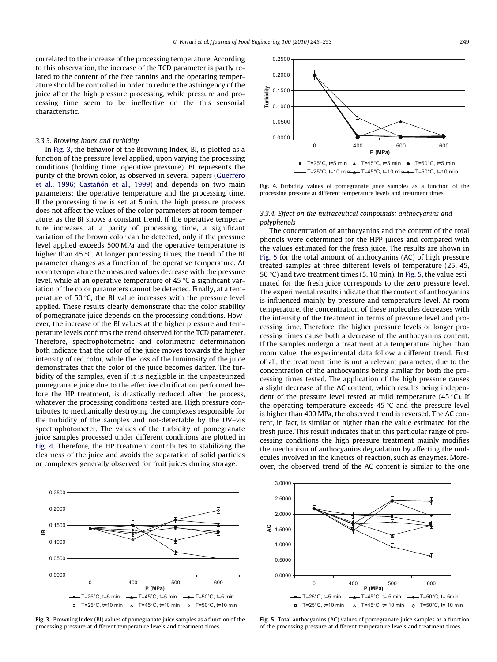correlated to the increase of the processing temperature. According to this observation, the increase of the TCD parameter is partly related to the content of the free tannins and the operating temperature should be controlled in order to reduce the astringency of the juice after the high pressure processing, while pressure and processing time seem to be ineffective on the this sensorial characteristic.

#### 3.3.3. Browing Index and turbidity

In Fig. 3, the behavior of the Browning Index, BI, is plotted as a function of the pressure level applied, upon varying the processing conditions (holding time, operative pressure). BI represents the purity of the brown color, as observed in several papers ([Guerrero](#page-8-0) [et al., 1996; Castañón et al., 1999\)](#page-8-0) and depends on two main parameters: the operative temperature and the processing time. If the processing time is set at 5 min, the high pressure process does not affect the values of the color parameters at room temperature, as the BI shows a constant trend. If the operative temperature increases at a parity of processing time, a significant variation of the brown color can be detected, only if the pressure level applied exceeds 500 MPa and the operative temperature is higher than 45  $\degree$ C. At longer processing times, the trend of the BI parameter changes as a function of the operative temperature. At room temperature the measured values decrease with the pressure level, while at an operative temperature of  $45^{\circ}$ C a significant variation of the color parameters cannot be detected. Finally, at a temperature of 50 $\degree$ C, the BI value increases with the pressure level applied. These results clearly demonstrate that the color stability of pomegranate juice depends on the processing conditions. However, the increase of the BI values at the higher pressure and temperature levels confirms the trend observed for the TCD parameter. Therefore, spectrophotometric and colorimetric determination both indicate that the color of the juice moves towards the higher intensity of red color, while the loss of the luminosity of the juice demonstrates that the color of the juice becomes darker. The turbidity of the samples, even if it is negligible in the unpasteurized pomegranate juice due to the effective clarification performed before the HP treatment, is drastically reduced after the process, whatever the processing conditions tested are. High pressure contributes to mechanically destroying the complexes responsible for the turbidity of the samples and not-detectable by the UV–vis spectrophotometer. The values of the turbidity of pomegranate juice samples processed under different conditions are plotted in Fig. 4. Therefore, the HP treatment contributes to stabilizing the clearness of the juice and avoids the separation of solid particles or complexes generally observed for fruit juices during storage.



Fig. 3. Browning Index (BI) values of pomegranate juice samples as a function of the processing pressure at different temperature levels and treatment times.



Fig. 4. Turbidity values of pomegranate juice samples as a function of the processing pressure at different temperature levels and treatment times.

#### 3.3.4. Effect on the nutraceutical compounds: anthocyanins and polyphenols

The concentration of anthocyanins and the content of the total phenols were determined for the HPP juices and compared with the values estimated for the fresh juice. The results are shown in Fig. 5 for the total amount of anthocyanins (AC) of high pressure treated samples at three different levels of temperature (25, 45, 50 °C) and two treatment times (5, 10 min). In Fig. 5, the value estimated for the fresh juice corresponds to the zero pressure level. The experimental results indicate that the content of anthocyanins is influenced mainly by pressure and temperature level. At room temperature, the concentration of these molecules decreases with the intensity of the treatment in terms of pressure level and processing time. Therefore, the higher pressure levels or longer processing times cause both a decrease of the anthocyanins content. If the samples undergo a treatment at a temperature higher than room value, the experimental data follow a different trend. First of all, the treatment time is not a relevant parameter, due to the concentration of the anthocyanins being similar for both the processing times tested. The application of the high pressure causes a slight decrease of the AC content, which results being independent of the pressure level tested at mild temperature  $(45 \degree C)$ . If the operating temperature exceeds  $45^{\circ}$ C and the pressure level is higher than 400 MPa, the observed trend is reversed. The AC content, in fact, is similar or higher than the value estimated for the fresh juice. This result indicates that in this particular range of processing conditions the high pressure treatment mainly modifies the mechanism of anthocyanins degradation by affecting the molecules involved in the kinetics of reaction, such as enzymes. Moreover, the observed trend of the AC content is similar to the one



Fig. 5. Total anthocyanins (AC) values of pomegranate juice samples as a function of the processing pressure at different temperature levels and treatment times.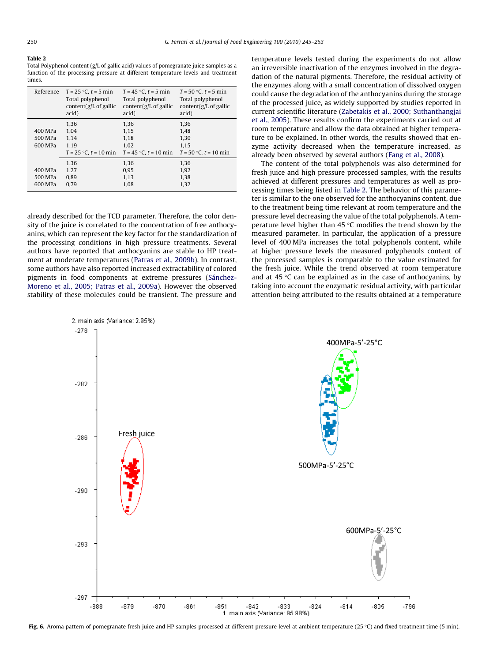#### <span id="page-5-0"></span>Table 2

Total Polyphenol content (g/L of gallic acid) values of pomegranate juice samples as a function of the processing pressure at different temperature levels and treatment times.

| Reference                     | $T = 25$ °C, $t = 5$ min<br>Total polyphenol<br>content( $g/L$ of gallic<br>acid) | $T = 45$ °C, $t = 5$ min<br>Total polyphenol<br>content( $g/L$ of gallic<br>acid) | $T = 50$ °C, $t = 5$ min<br>Total polyphenol<br>content( $g/L$ of gallic<br>acid) |
|-------------------------------|-----------------------------------------------------------------------------------|-----------------------------------------------------------------------------------|-----------------------------------------------------------------------------------|
| 400 MPa<br>500 MPa<br>600 MPa | 1.36<br>1.04<br>1.14<br>1.19<br>$T = 25$ °C, $t = 10$ min                         | 1.36<br>1.15<br>1.18<br>1.02<br>$T = 45$ °C, $t = 10$ min                         | 1.36<br>1.48<br>1.30<br>1.15<br>$T = 50$ °C, $t = 10$ min                         |
| 400 MPa<br>500 MPa<br>600 MPa | 1.36<br>1.27<br>0.89<br>0.79                                                      | 1,36<br>0.95<br>1.13<br>1.08                                                      | 1.36<br>1.92<br>1.38<br>1.32                                                      |

already described for the TCD parameter. Therefore, the color density of the juice is correlated to the concentration of free anthocyanins, which can represent the key factor for the standardization of the processing conditions in high pressure treatments. Several authors have reported that anthocyanins are stable to HP treatment at moderate temperatures ([Patras et al., 2009b](#page-8-0)). In contrast, some authors have also reported increased extractability of colored pigments in food components at extreme pressures ([Sánchez-](#page-8-0)[Moreno et al., 2005; Patras et al., 2009a\)](#page-8-0). However the observed stability of these molecules could be transient. The pressure and temperature levels tested during the experiments do not allow an irreversible inactivation of the enzymes involved in the degradation of the natural pigments. Therefore, the residual activity of the enzymes along with a small concentration of dissolved oxygen could cause the degradation of the anthocyanins during the storage of the processed juice, as widely supported by studies reported in current scientific literature ([Zabetakis et al., 2000; Suthanthangjai](#page-8-0) [et al., 2005\)](#page-8-0). These results confirm the experiments carried out at room temperature and allow the data obtained at higher temperature to be explained. In other words, the results showed that enzyme activity decreased when the temperature increased, as already been observed by several authors ([Fang et al., 2008](#page-8-0)).

The content of the total polyphenols was also determined for fresh juice and high pressure processed samples, with the results achieved at different pressures and temperatures as well as processing times being listed in Table 2. The behavior of this parameter is similar to the one observed for the anthocyanins content, due to the treatment being time relevant at room temperature and the pressure level decreasing the value of the total polyphenols. A temperature level higher than  $45^{\circ}$ C modifies the trend shown by the measured parameter. In particular, the application of a pressure level of 400 MPa increases the total polyphenols content, while at higher pressure levels the measured polyphenols content of the processed samples is comparable to the value estimated for the fresh juice. While the trend observed at room temperature and at 45  $\degree$ C can be explained as in the case of anthocyanins, by taking into account the enzymatic residual activity, with particular attention being attributed to the results obtained at a temperature



Fig. 6. Aroma pattern of pomegranate fresh juice and HP samples processed at different pressure level at ambient temperature (25 °C) and fixed treatment time (5 min).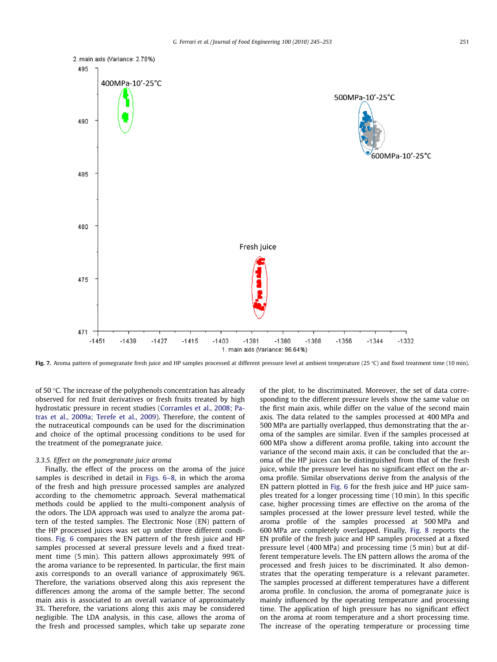

Fig. 7. Aroma pattern of pomegranate fresh juice and HP samples processed at different pressure level at ambient temperature (25 °C) and fixed treatment time (10 min).

of 50  $\degree$ C. The increase of the polyphenols concentration has already observed for red fruit derivatives or fresh fruits treated by high hydrostatic pressure in recent studies [\(Corramles et al., 2008; Pa](#page-7-0)[tras et al., 2009a; Terefe et al., 2009](#page-7-0)). Therefore, the content of the nutraceutical compounds can be used for the discrimination and choice of the optimal processing conditions to be used for the treatment of the pomegranate juice.

#### 3.3.5. Effect on the pomegranate juice aroma

Finally, the effect of the process on the aroma of the juice samples is described in detail in [Figs. 6–8,](#page-5-0) in which the aroma of the fresh and high pressure processed samples are analyzed according to the chemometric approach. Several mathematical methods could be applied to the multi-component analysis of the odors. The LDA approach was used to analyze the aroma pattern of the tested samples. The Electronic Nose (EN) pattern of the HP processed juices was set up under three different conditions. [Fig. 6](#page-5-0) compares the EN pattern of the fresh juice and HP samples processed at several pressure levels and a fixed treatment time (5 min). This pattern allows approximately 99% of the aroma variance to be represented. In particular, the first main axis corresponds to an overall variance of approximately 96%. Therefore, the variations observed along this axis represent the differences among the aroma of the sample better. The second main axis is associated to an overall variance of approximately 3%. Therefore, the variations along this axis may be considered negligible. The LDA analysis, in this case, allows the aroma of the fresh and processed samples, which take up separate zone of the plot, to be discriminated. Moreover, the set of data corresponding to the different pressure levels show the same value on the first main axis, while differ on the value of the second main axis. The data related to the samples processed at 400 MPa and 500 MPa are partially overlapped, thus demonstrating that the aroma of the samples are similar. Even if the samples processed at 600 MPa show a different aroma profile, taking into account the variance of the second main axis, it can be concluded that the aroma of the HP juices can be distinguished from that of the fresh juice, while the pressure level has no significant effect on the aroma profile. Similar observations derive from the analysis of the EN pattern plotted in [Fig. 6](#page-5-0) for the fresh juice and HP juice samples treated for a longer processing time (10 min). In this specific case, higher processing times are effective on the aroma of the samples processed at the lower pressure level tested, while the aroma profile of the samples processed at 500 MPa and 600 MPa are completely overlapped. Finally, [Fig. 8](#page-7-0) reports the EN profile of the fresh juice and HP samples processed at a fixed pressure level (400 MPa) and processing time (5 min) but at different temperature levels. The EN pattern allows the aroma of the processed and fresh juices to be discriminated. It also demonstrates that the operating temperature is a relevant parameter. The samples processed at different temperatures have a different aroma profile. In conclusion, the aroma of pomegranate juice is mainly influenced by the operating temperature and processing time. The application of high pressure has no significant effect on the aroma at room temperature and a short processing time. The increase of the operating temperature or processing time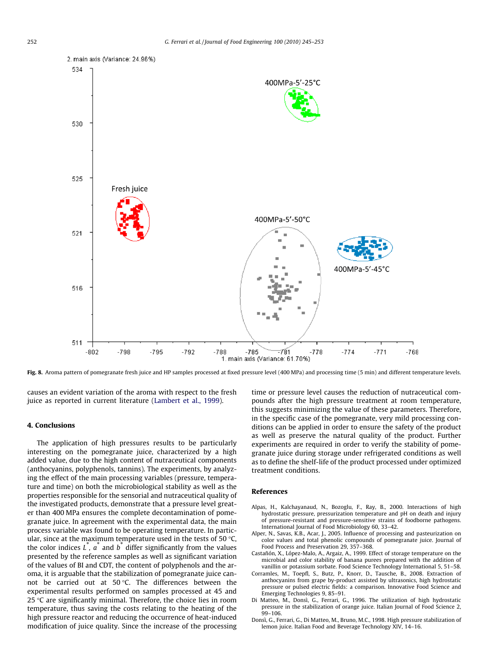<span id="page-7-0"></span>

Fig. 8. Aroma pattern of pomegranate fresh juice and HP samples processed at fixed pressure level (400 MPa) and processing time (5 min) and different temperature levels.

causes an evident variation of the aroma with respect to the fresh juice as reported in current literature ([Lambert et al., 1999](#page-8-0)).

# 4. Conclusions

The application of high pressures results to be particularly interesting on the pomegranate juice, characterized by a high added value, due to the high content of nutraceutical components (anthocyanins, polyphenols, tannins). The experiments, by analyzing the effect of the main processing variables (pressure, temperature and time) on both the microbiological stability as well as the properties responsible for the sensorial and nutraceutical quality of the investigated products, demonstrate that a pressure level greater than 400 MPa ensures the complete decontamination of pomegranate juice. In agreement with the experimental data, the main process variable was found to be operating temperature. In particular, since at the maximum temperature used in the tests of 50  $\degree$ C, the color indices  $L^{\dagger}$ ,  $a^{\dagger}$  and  $b^{\dagger}$  differ significantly from the values presented by the reference samples as well as significant variation of the values of BI and CDT, the content of polyphenols and the aroma, it is arguable that the stabilization of pomegranate juice cannot be carried out at 50  $\degree$ C. The differences between the experimental results performed on samples processed at 45 and 25  $\degree$ C are significantly minimal. Therefore, the choice lies in room temperature, thus saving the costs relating to the heating of the high pressure reactor and reducing the occurrence of heat-induced modification of juice quality. Since the increase of the processing time or pressure level causes the reduction of nutraceutical compounds after the high pressure treatment at room temperature, this suggests minimizing the value of these parameters. Therefore, in the specific case of the pomegranate, very mild processing conditions can be applied in order to ensure the safety of the product as well as preserve the natural quality of the product. Further experiments are required in order to verify the stability of pomegranate juice during storage under refrigerated conditions as well as to define the shelf-life of the product processed under optimized treatment conditions.

### References

- Alpas, H., Kalchayanaud, N., Bozoglu, F., Ray, B., 2000. Interactions of high hydrostatic pressure, pressurization temperature and pH on death and injury of pressure-resistant and pressure-sensitive strains of foodborne pathogens. International Journal of Food Microbiology 60, 33–42.
- Alper, N., Savas, K.B., Acar, J., 2005. Influence of processing and pasteurization on color values and total phenolic compounds of pomegranate juice. Journal of Food Process and Preservation 29, 357–368.
- Castañón, X., López-Malo, A., Argaiz, A., 1999. Effect of storage temperature on the microbial and color stability of banana purees prepared with the addition of vanillin or potassium sorbate. Food Science Technology International 5, 51–58.
- Corramles, M., Toepfl, S., Butz, P., Knorr, D., Tausche, B., 2008. Extraction of anthocyanins from grape by-product assisted by ultrasonics, high hydrostatic pressure or pulsed electric fields: a comparison. Innovative Food Science and Emerging Technologies 9, 85–91.
- Di Matteo, M., Donsì, G., Ferrari, G., 1996. The utilization of high hydrostatic pressure in the stabilization of orange juice. Italian Journal of Food Science 2, 99–106.
- Donsì, G., Ferrari, G., Di Matteo, M., Bruno, M.C., 1998. High pressure stabilization of lemon juice. Italian Food and Beverage Technology XIV, 14–16.